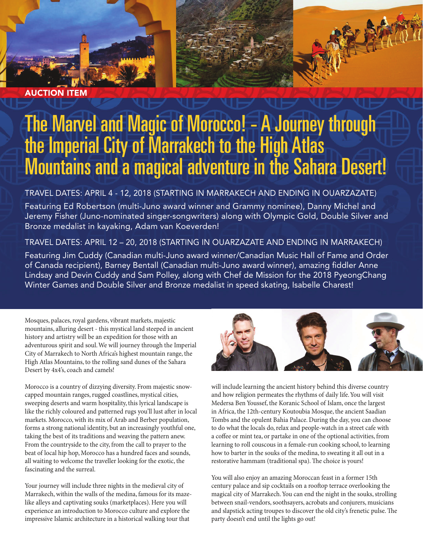

AUCTION ITEM

# The Marvel and Magic of Morocco! - A Journey through the Imperial City of Marrakech to the High Atlas Mountains and a magical adventure in the Sahara Desert!

## TRAVEL DATES: APRIL 4 - 12, 2018 (STARTING IN MARRAKECH AND ENDING IN OUARZAZATE)

Featuring Ed Robertson (multi-Juno award winner and Grammy nominee), Danny Michel and Jeremy Fisher (Juno-nominated singer-songwriters) along with Olympic Gold, Double Silver and Bronze medalist in kayaking, Adam van Koeverden!

## TRAVEL DATES: APRIL 12 – 20, 2018 (STARTING IN OUARZAZATE AND ENDING IN MARRAKECH)

Featuring Jim Cuddy (Canadian multi-Juno award winner/Canadian Music Hall of Fame and Order of Canada recipient), Barney Bentall (Canadian multi-Juno award winner), amazing fiddler Anne Lindsay and Devin Cuddy and Sam Polley, along with Chef de Mission for the 2018 PyeongChang Winter Games and Double Silver and Bronze medalist in speed skating, Isabelle Charest!

Mosques, palaces, royal gardens, vibrant markets, majestic mountains, alluring desert - this mystical land steeped in ancient history and artistry will be an expedition for those with an adventurous spirit and soul. We will journey through the Imperial City of Marrakech to North Africa's highest mountain range, the High Atlas Mountains, to the rolling sand dunes of the Sahara Desert by 4x4's, coach and camels!

Morocco is a country of dizzying diversity. From majestic snowcapped mountain ranges, rugged coastlines, mystical cities, sweeping deserts and warm hospitality, this lyrical landscape is like the richly coloured and patterned rugs you'll lust after in local markets. Morocco, with its mix of Arab and Berber population, forms a strong national identity, but an increasingly youthful one, taking the best of its traditions and weaving the pattern anew. From the countryside to the city, from the call to prayer to the beat of local hip hop, Morocco has a hundred faces and sounds, all waiting to welcome the traveller looking for the exotic, the fascinating and the surreal.

Your journey will include three nights in the medieval city of Marrakech, within the walls of the medina, famous for its mazelike alleys and captivating souks (marketplaces). Here you will experience an introduction to Morocco culture and explore the impressive Islamic architecture in a historical walking tour that



will include learning the ancient history behind this diverse country and how religion permeates the rhythms of daily life. You will visit Medersa Ben Youssef, the Koranic School of Islam, once the largest in Africa, the 12th-century Koutoubia Mosque, the ancient Saadian Tombs and the opulent Bahia Palace. During the day, you can choose to do what the locals do, relax and people-watch in a street cafe with a coffee or mint tea, or partake in one of the optional activities, from learning to roll couscous in a female-run cooking school, to learning how to barter in the souks of the medina, to sweating it all out in a restorative hammam (traditional spa). The choice is yours!

You will also enjoy an amazing Moroccan feast in a former 15th century palace and sip cocktails on a rooftop terrace overlooking the magical city of Marrakech. You can end the night in the souks, strolling between snail-vendors, soothsayers, acrobats and conjurers, musicians and slapstick acting troupes to discover the old city's frenetic pulse. The party doesn't end until the lights go out!